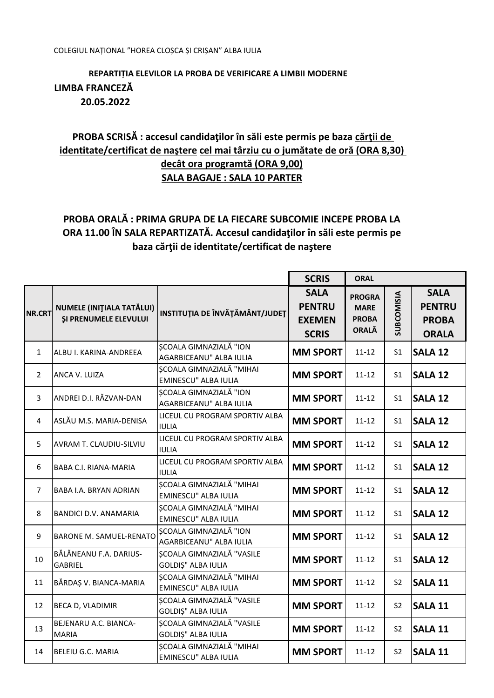## REPARTITIA ELEVILOR LA PROBA DE VERIFICARE A LIMBII MODERNE LIMBA FRANCEZĂ 20.05.2022

## PROBA SCRISĂ : accesul candidaților în săli este permis pe baza cărții de identitate/certificat de naștere cel mai târziu cu o jumătate de oră (ORA 8,30) decât ora programtă (ORA 9,00) **SALA BAGAJE : SALA 10 PARTER**

## PROBA ORALĂ : PRIMA GRUPA DE LA FIECARE SUBCOMIE INCEPE PROBA LA ORA 11.00 ÎN SALA REPARTIZATĂ. Accesul candidaților în săli este permis pe baza cărții de identitate/certificat de naștere

|                |                                                           |                                                         | <b>SCRIS</b>                                                  | <b>ORAL</b>                                                  |                   |                                                              |
|----------------|-----------------------------------------------------------|---------------------------------------------------------|---------------------------------------------------------------|--------------------------------------------------------------|-------------------|--------------------------------------------------------------|
| <b>NR.CRT</b>  | NUMELE (INIȚIALA TATĂLUI)<br><b>ŞI PRENUMELE ELEVULUI</b> | INSTITUȚIA DE ÎNVĂȚĂMÂNT/JUDEȚ                          | <b>SALA</b><br><b>PENTRU</b><br><b>EXEMEN</b><br><b>SCRIS</b> | <b>PROGRA</b><br><b>MARE</b><br><b>PROBA</b><br><b>ORALĂ</b> | <b>SUBCOMISIA</b> | <b>SALA</b><br><b>PENTRU</b><br><b>PROBA</b><br><b>ORALA</b> |
| $\mathbf{1}$   | ALBU I. KARINA-ANDREEA                                    | SCOALA GIMNAZIALĂ "ION<br>AGARBICEANU" ALBA IULIA       | <b>MM SPORT</b>                                               | $11 - 12$                                                    | S <sub>1</sub>    | <b>SALA 12</b>                                               |
| $\overline{2}$ | ANCA V. LUIZA                                             | SCOALA GIMNAZIALĂ "MIHAI<br>EMINESCU" ALBA IULIA        | <b>MM SPORT</b>                                               | $11 - 12$                                                    | S <sub>1</sub>    | <b>SALA 12</b>                                               |
| 3              | ANDREI D.I. RĂZVAN-DAN                                    | SCOALA GIMNAZIALĂ "ION<br>AGARBICEANU" ALBA IULIA       | <b>MM SPORT</b>                                               | $11 - 12$                                                    | S <sub>1</sub>    | <b>SALA 12</b>                                               |
| 4              | ASLĂU M.S. MARIA-DENISA                                   | LICEUL CU PROGRAM SPORTIV ALBA<br><b>IULIA</b>          | <b>MM SPORT</b>                                               | $11 - 12$                                                    | S <sub>1</sub>    | <b>SALA 12</b>                                               |
| 5              | AVRAM T. CLAUDIU-SILVIU                                   | LICEUL CU PROGRAM SPORTIV ALBA<br><b>IULIA</b>          | <b>MM SPORT</b>                                               | $11 - 12$                                                    | S <sub>1</sub>    | <b>SALA 12</b>                                               |
| 6              | <b>BABA C.I. RIANA-MARIA</b>                              | LICEUL CU PROGRAM SPORTIV ALBA<br><b>IULIA</b>          | <b>MM SPORT</b>                                               | $11 - 12$                                                    | S <sub>1</sub>    | <b>SALA 12</b>                                               |
| $\overline{7}$ | <b>BABA I.A. BRYAN ADRIAN</b>                             | ȘCOALA GIMNAZIALĂ "MIHAI<br>EMINESCU" ALBA IULIA        | <b>MM SPORT</b>                                               | $11 - 12$                                                    | S <sub>1</sub>    | <b>SALA 12</b>                                               |
| 8              | <b>BANDICI D.V. ANAMARIA</b>                              | SCOALA GIMNAZIALĂ "MIHAI<br><b>EMINESCU" ALBA IULIA</b> | <b>MM SPORT</b>                                               | $11 - 12$                                                    | S <sub>1</sub>    | <b>SALA 12</b>                                               |
| 9              | <b>BARONE M. SAMUEL-RENATO</b>                            | ȘCOALA GIMNAZIALĂ "ION<br>AGARBICEANU" ALBA IULIA       | <b>MM SPORT</b>                                               | $11 - 12$                                                    | S <sub>1</sub>    | <b>SALA 12</b>                                               |
| 10             | BĂLĂNEANU F.A. DARIUS-<br>GABRIEL                         | SCOALA GIMNAZIALĂ "VASILE<br><b>GOLDIȘ" ALBA IULIA</b>  | <b>MM SPORT</b>                                               | $11 - 12$                                                    | S <sub>1</sub>    | <b>SALA 12</b>                                               |
| 11             | BĂRDAȘ V. BIANCA-MARIA                                    | SCOALA GIMNAZIALĂ "MIHAI<br><b>EMINESCU" ALBA IULIA</b> | <b>MM SPORT</b>                                               | $11 - 12$                                                    | S <sub>2</sub>    | <b>SALA 11</b>                                               |
| 12             | <b>BECA D, VLADIMIR</b>                                   | SCOALA GIMNAZIALĂ "VASILE<br><b>GOLDIȘ" ALBA IULIA</b>  | <b>MM SPORT</b>                                               | $11 - 12$                                                    | S <sub>2</sub>    | <b>SALA 11</b>                                               |
| 13             | BEJENARU A.C. BIANCA-<br><b>MARIA</b>                     | ȘCOALA GIMNAZIALĂ "VASILE<br><b>GOLDIȘ" ALBA IULIA</b>  | <b>MM SPORT</b>                                               | $11 - 12$                                                    | S <sub>2</sub>    | <b>SALA 11</b>                                               |
| 14             | <b>BELEIU G.C. MARIA</b>                                  | SCOALA GIMNAZIALĂ "MIHAI<br>EMINESCU" ALBA IULIA        | <b>MM SPORT</b>                                               | $11 - 12$                                                    | S <sub>2</sub>    | <b>SALA 11</b>                                               |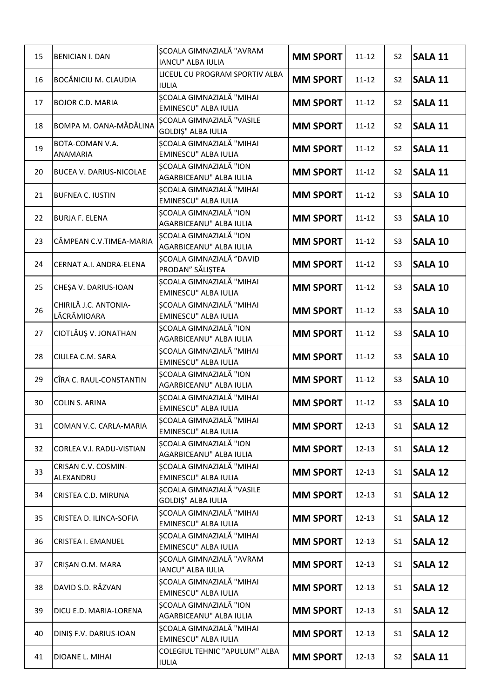| 15 | <b>BENICIAN I. DAN</b>               | ȘCOALA GIMNAZIALĂ "AVRAM<br>IANCU" ALBA IULIA                  | <b>MM SPORT</b> | $11 - 12$ | S <sub>2</sub> | <b>SALA 11</b> |
|----|--------------------------------------|----------------------------------------------------------------|-----------------|-----------|----------------|----------------|
| 16 | BOCĂNICIU M. CLAUDIA                 | LICEUL CU PROGRAM SPORTIV ALBA<br><b>IULIA</b>                 | <b>MM SPORT</b> | $11 - 12$ | S <sub>2</sub> | <b>SALA 11</b> |
| 17 | <b>BOJOR C.D. MARIA</b>              | ȘCOALA GIMNAZIALĂ "MIHAI<br>EMINESCU" ALBA IULIA               | <b>MM SPORT</b> | $11 - 12$ | S <sub>2</sub> | <b>SALA 11</b> |
| 18 | BOMPA M. OANA-MĂDĂLINA               | <b>SCOALA GIMNAZIALĂ "VASILE</b><br><b>GOLDIȘ" ALBA IULIA</b>  | <b>MM SPORT</b> | $11 - 12$ | S <sub>2</sub> | <b>SALA 11</b> |
| 19 | BOTA-COMAN V.A.<br><b>ANAMARIA</b>   | SCOALA GIMNAZIALĂ "MIHAI<br>EMINESCU" ALBA IULIA               | <b>MM SPORT</b> | $11 - 12$ | S <sub>2</sub> | <b>SALA 11</b> |
| 20 | <b>BUCEA V. DARIUS-NICOLAE</b>       | SCOALA GIMNAZIALĂ "ION<br>AGARBICEANU" ALBA IULIA              | <b>MM SPORT</b> | $11 - 12$ | S <sub>2</sub> | <b>SALA 11</b> |
| 21 | <b>BUFNEA C. IUSTIN</b>              | <b>SCOALA GIMNAZIALĂ "MIHAI</b><br>EMINESCU" ALBA IULIA        | <b>MM SPORT</b> | $11 - 12$ | S <sub>3</sub> | <b>SALA 10</b> |
| 22 | <b>BURJA F. ELENA</b>                | <b>SCOALA GIMNAZIALĂ "ION</b><br>AGARBICEANU" ALBA IULIA       | <b>MM SPORT</b> | $11 - 12$ | S <sub>3</sub> | <b>SALA 10</b> |
| 23 | CÂMPEAN C.V.TIMEA-MARIA              | SCOALA GIMNAZIALĂ "ION<br>AGARBICEANU" ALBA IULIA              | <b>MM SPORT</b> | $11 - 12$ | S <sub>3</sub> | <b>SALA 10</b> |
| 24 | CERNAT A.I. ANDRA-ELENA              | SCOALA GIMNAZIALĂ "DAVID<br>PRODAN" SĂLIȘTEA                   | <b>MM SPORT</b> | $11 - 12$ | S <sub>3</sub> | <b>SALA 10</b> |
| 25 | CHEȘA V. DARIUS-IOAN                 | <b>SCOALA GIMNAZIALĂ "MIHAI</b><br>EMINESCU" ALBA IULIA        | <b>MM SPORT</b> | $11 - 12$ | S <sub>3</sub> | <b>SALA 10</b> |
| 26 | CHIRILĂ J.C. ANTONIA-<br>LĂCRĂMIOARA | <b>SCOALA GIMNAZIALĂ "MIHAI</b><br>EMINESCU" ALBA IULIA        | <b>MM SPORT</b> | $11 - 12$ | S <sub>3</sub> | <b>SALA 10</b> |
| 27 | CIOTLĂUȘ V. JONATHAN                 | SCOALA GIMNAZIALĂ "ION<br>AGARBICEANU" ALBA IULIA              | <b>MM SPORT</b> | $11 - 12$ | S <sub>3</sub> | <b>SALA 10</b> |
| 28 | CIULEA C.M. SARA                     | SCOALA GIMNAZIALĂ "MIHAI<br>EMINESCU" ALBA IULIA               | <b>MM SPORT</b> | $11 - 12$ | S <sub>3</sub> | <b>SALA 10</b> |
| 29 | CÎRA C. RAUL-CONSTANTIN              | SCOALA GIMNAZIALĂ "ION<br>AGARBICEANU" ALBA IULIA              | <b>MM SPORT</b> | $11 - 12$ | S <sub>3</sub> | <b>SALA 10</b> |
| 30 | <b>COLIN S. ARINA</b>                | <b>SCOALA GIMNAZIALĂ "MIHAI</b><br>EMINESCU" ALBA IULIA        | <b>MM SPORT</b> | $11 - 12$ | S <sub>3</sub> | <b>SALA 10</b> |
| 31 | COMAN V.C. CARLA-MARIA               | ȘCOALA GIMNAZIALĂ "MIHAI<br>EMINESCU" ALBA IULIA               | <b>MM SPORT</b> | $12 - 13$ | S <sub>1</sub> | <b>SALA 12</b> |
| 32 | CORLEA V.I. RADU-VISTIAN             | SCOALA GIMNAZIALĂ "ION<br>AGARBICEANU" ALBA IULIA              | <b>MM SPORT</b> | $12 - 13$ | S <sub>1</sub> | <b>SALA 12</b> |
| 33 | CRISAN C.V. COSMIN-<br>ALEXANDRU     | SCOALA GIMNAZIALĂ "MIHAI<br>EMINESCU" ALBA IULIA               | <b>MM SPORT</b> | $12 - 13$ | S1             | <b>SALA 12</b> |
| 34 | CRISTEA C.D. MIRUNA                  | <b>SCOALA GIMNAZIALĂ "VASILE</b><br>GOLDIȘ" ALBA IULIA         | <b>MM SPORT</b> | $12 - 13$ | S1             | <b>SALA 12</b> |
| 35 | CRISTEA D. ILINCA-SOFIA              | <b>SCOALA GIMNAZIALĂ "MIHAI</b><br>EMINESCU" ALBA IULIA        | <b>MM SPORT</b> | $12 - 13$ | S1             | <b>SALA 12</b> |
| 36 | <b>CRISTEA I. EMANUEL</b>            | ȘCOALA GIMNAZIALĂ "MIHAI<br>EMINESCU" ALBA IULIA               | <b>MM SPORT</b> | $12 - 13$ | S <sub>1</sub> | <b>SALA 12</b> |
| 37 | CRIȘAN O.M. MARA                     | SCOALA GIMNAZIALĂ "AVRAM<br>IANCU" ALBA IULIA                  | <b>MM SPORT</b> | $12 - 13$ | S1             | <b>SALA 12</b> |
| 38 | DAVID S.D. RĂZVAN                    | ȘCOALA GIMNAZIALĂ "MIHAI<br>EMINESCU" ALBA IULIA               | <b>MM SPORT</b> | $12 - 13$ | S1             | <b>SALA 12</b> |
| 39 | DICU E.D. MARIA-LORENA               | <b>SCOALA GIMNAZIALĂ "ION</b><br>AGARBICEANU" ALBA IULIA       | <b>MM SPORT</b> | $12 - 13$ | S <sub>1</sub> | <b>SALA 12</b> |
| 40 | DINIȘ F.V. DARIUS-IOAN               | <b>SCOALA GIMNAZIALĂ "MIHAI</b><br><b>EMINESCU" ALBA IULIA</b> | <b>MM SPORT</b> | $12 - 13$ | S1             | <b>SALA 12</b> |
| 41 | DIOANE L. MIHAI                      | COLEGIUL TEHNIC "APULUM" ALBA<br><b>IULIA</b>                  | <b>MM SPORT</b> | $12 - 13$ | S <sub>2</sub> | <b>SALA 11</b> |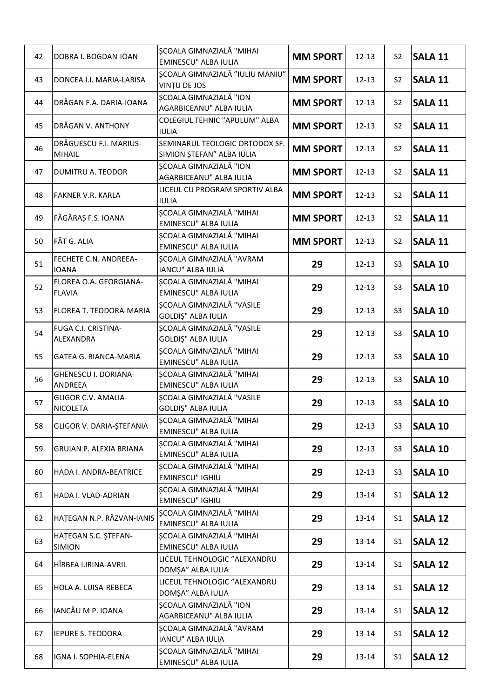| 42 | DOBRA I. BOGDAN-IOAN                          | ȘCOALA GIMNAZIALĂ "MIHAI<br><b>EMINESCU" ALBA IULIA</b>        | <b>MM SPORT</b> | $12 - 13$ | S <sub>2</sub> | <b>SALA 11</b> |
|----|-----------------------------------------------|----------------------------------------------------------------|-----------------|-----------|----------------|----------------|
| 43 | DONCEA I.I. MARIA-LARISA                      | SCOALA GIMNAZIALĂ "IULIU MANIU"<br>VINTU DE JOS                | <b>MM SPORT</b> | $12 - 13$ | S <sub>2</sub> | <b>SALA 11</b> |
| 44 | DRĂGAN F.A. DARIA-IOANA                       | SCOALA GIMNAZIALĂ "ION<br>AGARBICEANU" ALBA IULIA              | <b>MM SPORT</b> | $12 - 13$ | S <sub>2</sub> | <b>SALA 11</b> |
| 45 | DRĂGAN V. ANTHONY                             | COLEGIUL TEHNIC "APULUM" ALBA<br><b>IULIA</b>                  | <b>MM SPORT</b> | $12 - 13$ | S <sub>2</sub> | <b>SALA 11</b> |
| 46 | DRĂGUESCU F.I. MARIUS-<br><b>MIHAIL</b>       | SEMINARUL TEOLOGIC ORTODOX SF.<br>SIMION ȘTEFAN" ALBA IULIA    | <b>MM SPORT</b> | $12 - 13$ | S <sub>2</sub> | <b>SALA 11</b> |
| 47 | DUMITRU A. TEODOR                             | <b>SCOALA GIMNAZIALĂ "ION</b><br>AGARBICEANU" ALBA IULIA       | <b>MM SPORT</b> | $12 - 13$ | S <sub>2</sub> | <b>SALA 11</b> |
| 48 | <b>FAKNER V.R. KARLA</b>                      | LICEUL CU PROGRAM SPORTIV ALBA<br><b>IULIA</b>                 | <b>MM SPORT</b> | $12 - 13$ | S <sub>2</sub> | <b>SALA 11</b> |
| 49 | FĂGĂRAȘ F.S. IOANA                            | <b>SCOALA GIMNAZIALĂ "MIHAI</b><br>EMINESCU" ALBA IULIA        | <b>MM SPORT</b> | $12 - 13$ | S <sub>2</sub> | <b>SALA 11</b> |
| 50 | FĂT G. ALIA                                   | SCOALA GIMNAZIALĂ "MIHAI<br><b>EMINESCU" ALBA IULIA</b>        | <b>MM SPORT</b> | $12 - 13$ | S <sub>2</sub> | <b>SALA 11</b> |
| 51 | FECHETE C.N. ANDREEA-<br><b>IOANA</b>         | SCOALA GIMNAZIALĂ "AVRAM<br><b>IANCU" ALBA IULIA</b>           | 29              | $12 - 13$ | S <sub>3</sub> | <b>SALA 10</b> |
| 52 | FLOREA O.A. GEORGIANA-<br><b>FLAVIA</b>       | SCOALA GIMNAZIALĂ "MIHAI<br>EMINESCU" ALBA IULIA               | 29              | $12 - 13$ | S <sub>3</sub> | <b>SALA 10</b> |
| 53 | FLOREA T. TEODORA-MARIA                       | SCOALA GIMNAZIALĂ "VASILE<br>GOLDIȘ" ALBA IULIA                | 29              | $12 - 13$ | S <sub>3</sub> | <b>SALA 10</b> |
| 54 | FUGA C.I. CRISTINA-<br>ALEXANDRA              | ȘCOALA GIMNAZIALĂ "VASILE<br>GOLDIȘ" ALBA IULIA                | 29              | $12 - 13$ | S <sub>3</sub> | <b>SALA 10</b> |
| 55 | <b>GATEA G. BIANCA-MARIA</b>                  | <b>SCOALA GIMNAZIALĂ "MIHAI</b><br>EMINESCU" ALBA IULIA        | 29              | $12 - 13$ | S <sub>3</sub> | <b>SALA 10</b> |
| 56 | GHENESCU I. DORIANA-<br><b>ANDREEA</b>        | <b>SCOALA GIMNAZIALĂ "MIHAI</b><br><b>EMINESCU" ALBA IULIA</b> | 29              | $12 - 13$ | S <sub>3</sub> | <b>SALA 10</b> |
| 57 | <b>GLIGOR C.V. AMALIA-</b><br><b>NICOLETA</b> | SCOALA GIMNAZIALĂ "VASILE<br><b>GOLDIȘ" ALBA IULIA</b>         | 29              | $12 - 13$ | S <sub>3</sub> | <b>SALA 10</b> |
| 58 | GLIGOR V. DARIA-ȘTEFANIA                      | ȘCOALA GIMNAZIALĂ "MIHAI<br><b>EMINESCU" ALBA IULIA</b>        | 29              | $12 - 13$ | S <sub>3</sub> | <b>SALA 10</b> |
| 59 | <b>GRUIAN P. ALEXIA BRIANA</b>                | SCOALA GIMNAZIALĂ "MIHAI<br>EMINESCU" ALBA IULIA               | 29              | $12 - 13$ | S <sub>3</sub> | <b>SALA 10</b> |
| 60 | HADA I. ANDRA-BEATRICE                        | SCOALA GIMNAZIALĂ "MIHAI<br><b>EMINESCU" IGHIU</b>             | 29              | $12 - 13$ | S <sub>3</sub> | <b>SALA 10</b> |
| 61 | HADA I. VLAD-ADRIAN                           | SCOALA GIMNAZIALĂ "MIHAI<br>EMINESCU" IGHIU                    | 29              | 13-14     | S <sub>1</sub> | <b>SALA 12</b> |
| 62 | HATEGAN N.P. RĂZVAN-IANIS                     | SCOALA GIMNAZIALĂ "MIHAI<br>EMINESCU" ALBA IULIA               | 29              | 13-14     | S <sub>1</sub> | <b>SALA 12</b> |
| 63 | HATEGAN S.C. ȘTEFAN-<br><b>SIMION</b>         | SCOALA GIMNAZIALĂ "MIHAI<br><b>EMINESCU" ALBA IULIA</b>        | 29              | 13-14     | S <sub>1</sub> | <b>SALA 12</b> |
| 64 | HÎRBEA I.IRINA-AVRIL                          | LICEUL TEHNOLOGIC "ALEXANDRU<br>DOMȘA" ALBA IULIA              | 29              | 13-14     | S1             | <b>SALA 12</b> |
| 65 | HOLA A. LUISA-REBECA                          | LICEUL TEHNOLOGIC "ALEXANDRU<br>DOMȘA" ALBA IULIA              | 29              | 13-14     | S <sub>1</sub> | <b>SALA 12</b> |
| 66 | IANCĂU M P. IOANA                             | SCOALA GIMNAZIALĂ "ION<br>AGARBICEANU" ALBA IULIA              | 29              | 13-14     | S <sub>1</sub> | <b>SALA 12</b> |
| 67 | <b>IEPURE S. TEODORA</b>                      | SCOALA GIMNAZIALĂ "AVRAM<br>IANCU" ALBA IULIA                  | 29              | 13-14     | S <sub>1</sub> | SALA 12        |
| 68 | IGNA I. SOPHIA-ELENA                          | <b>SCOALA GIMNAZIALĂ "MIHAI</b><br>EMINESCU" ALBA IULIA        | 29              | 13-14     | S <sub>1</sub> | <b>SALA 12</b> |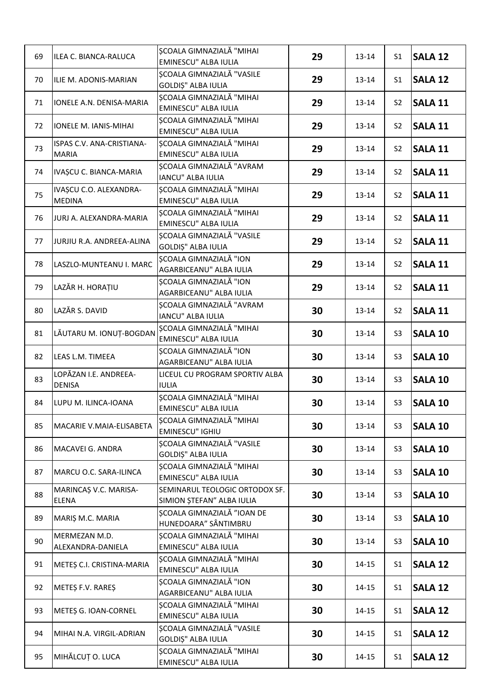| 69 | ILEA C. BIANCA-RALUCA                     | <b>SCOALA GIMNAZIALĂ "MIHAI</b><br>EMINESCU" ALBA IULIA       | 29 | 13-14     | S <sub>1</sub> | <b>SALA 12</b> |
|----|-------------------------------------------|---------------------------------------------------------------|----|-----------|----------------|----------------|
| 70 | ILIE M. ADONIS-MARIAN                     | ȘCOALA GIMNAZIALĂ "VASILE<br>GOLDIȘ" ALBA IULIA               | 29 | 13-14     | S <sub>1</sub> | <b>SALA 12</b> |
| 71 | IONELE A.N. DENISA-MARIA                  | SCOALA GIMNAZIALĂ "MIHAI<br><b>EMINESCU" ALBA IULIA</b>       | 29 | 13-14     | S <sub>2</sub> | <b>SALA 11</b> |
| 72 | IONELE M. IANIS-MIHAI                     | SCOALA GIMNAZIALĂ "MIHAI<br>EMINESCU" ALBA IULIA              | 29 | 13-14     | S <sub>2</sub> | <b>SALA 11</b> |
| 73 | ISPAS C.V. ANA-CRISTIANA-<br><b>MARIA</b> | SCOALA GIMNAZIALĂ "MIHAI<br><b>EMINESCU" ALBA IULIA</b>       | 29 | 13-14     | S <sub>2</sub> | <b>SALA 11</b> |
| 74 | IVAȘCU C. BIANCA-MARIA                    | SCOALA GIMNAZIALĂ "AVRAM<br>IANCU" ALBA IULIA                 | 29 | $13 - 14$ | S <sub>2</sub> | <b>SALA 11</b> |
| 75 | IVAȘCU C.O. ALEXANDRA-<br><b>MEDINA</b>   | SCOALA GIMNAZIALĂ "MIHAI<br>EMINESCU" ALBA IULIA              | 29 | 13-14     | S <sub>2</sub> | <b>SALA 11</b> |
| 76 | JURJ A. ALEXANDRA-MARIA                   | SCOALA GIMNAZIALĂ "MIHAI<br>EMINESCU" ALBA IULIA              | 29 | 13-14     | S <sub>2</sub> | <b>SALA 11</b> |
| 77 | JURJIU R.A. ANDREEA-ALINA                 | <b>SCOALA GIMNAZIALĂ "VASILE</b><br><b>GOLDIȘ" ALBA IULIA</b> | 29 | 13-14     | S <sub>2</sub> | <b>SALA 11</b> |
| 78 | LASZLO-MUNTEANU I. MARC                   | SCOALA GIMNAZIALĂ "ION<br>AGARBICEANU" ALBA IULIA             | 29 | 13-14     | S <sub>2</sub> | <b>SALA 11</b> |
| 79 | LAZĂR H. HORAȚIU                          | <b>SCOALA GIMNAZIALĂ "ION</b><br>AGARBICEANU" ALBA IULIA      | 29 | 13-14     | S <sub>2</sub> | <b>SALA 11</b> |
| 80 | LAZĂR S. DAVID                            | SCOALA GIMNAZIALĂ "AVRAM<br><b>IANCU" ALBA IULIA</b>          | 30 | $13 - 14$ | S <sub>2</sub> | <b>SALA 11</b> |
| 81 | LĂUTARU M. IONUȚ-BOGDAN                   | SCOALA GIMNAZIALĂ "MIHAI<br>EMINESCU" ALBA IULIA              | 30 | 13-14     | S <sub>3</sub> | <b>SALA 10</b> |
| 82 | LEAS L.M. TIMEEA                          | SCOALA GIMNAZIALĂ "ION<br>AGARBICEANU" ALBA IULIA             | 30 | 13-14     | S <sub>3</sub> | <b>SALA 10</b> |
| 83 | LOPĂZAN I.E. ANDREEA-<br><b>DENISA</b>    | LICEUL CU PROGRAM SPORTIV ALBA<br><b>IULIA</b>                | 30 | 13-14     | S <sub>3</sub> | <b>SALA 10</b> |
| 84 | LUPU M. ILINCA-IOANA                      | ȘCOALA GIMNAZIALĂ "MIHAI<br>EMINESCU" ALBA IULIA              | 30 | 13-14     | S <sub>3</sub> | <b>SALA 10</b> |
| 85 | MACARIE V.MAIA-ELISABETA                  | SCOALA GIMNAZIALĂ "MIHAI<br><b>EMINESCU" IGHIU</b>            | 30 | $13 - 14$ | S <sub>3</sub> | <b>SALA 10</b> |
| 86 | MACAVEI G. ANDRA                          | SCOALA GIMNAZIALĂ "VASILE<br>GOLDIȘ" ALBA IULIA               | 30 | 13-14     | S <sub>3</sub> | <b>SALA 10</b> |
| 87 | MARCU O.C. SARA-ILINCA                    | SCOALA GIMNAZIALĂ "MIHAI<br>EMINESCU" ALBA IULIA              | 30 | 13-14     | S <sub>3</sub> | <b>SALA 10</b> |
| 88 | MARINCAȘ V.C. MARISA-<br><b>ELENA</b>     | SEMINARUL TEOLOGIC ORTODOX SF.<br>SIMION ȘTEFAN" ALBA IULIA   | 30 | 13-14     | S <sub>3</sub> | <b>SALA 10</b> |
| 89 | MARIȘ M.C. MARIA                          | SCOALA GIMNAZIALĂ "IOAN DE<br>HUNEDOARA" SÂNTIMBRU            | 30 | 13-14     | S <sub>3</sub> | <b>SALA 10</b> |
| 90 | MERMEZAN M.D.<br>ALEXANDRA-DANIELA        | SCOALA GIMNAZIALĂ "MIHAI<br>EMINESCU" ALBA IULIA              | 30 | 13-14     | S <sub>3</sub> | <b>SALA 10</b> |
| 91 | METES C.I. CRISTINA-MARIA                 | SCOALA GIMNAZIALĂ "MIHAI<br><b>EMINESCU" ALBA IULIA</b>       | 30 | 14-15     | S1             | <b>SALA 12</b> |
| 92 | METEȘ F.V. RAREȘ                          | SCOALA GIMNAZIALĂ "ION<br>AGARBICEANU" ALBA IULIA             | 30 | 14-15     | S <sub>1</sub> | <b>SALA 12</b> |
| 93 | METES G. IOAN-CORNEL                      | SCOALA GIMNAZIALĂ "MIHAI<br>EMINESCU" ALBA IULIA              | 30 | 14-15     | S <sub>1</sub> | <b>SALA 12</b> |
| 94 | MIHAI N.A. VIRGIL-ADRIAN                  | SCOALA GIMNAZIALĂ "VASILE<br>GOLDIȘ" ALBA IULIA               | 30 | 14-15     | S1             | <b>SALA 12</b> |
| 95 | MIHĂLCUȚ O. LUCA                          | SCOALA GIMNAZIALĂ "MIHAI<br>EMINESCU" ALBA IULIA              | 30 | 14-15     | S <sub>1</sub> | <b>SALA 12</b> |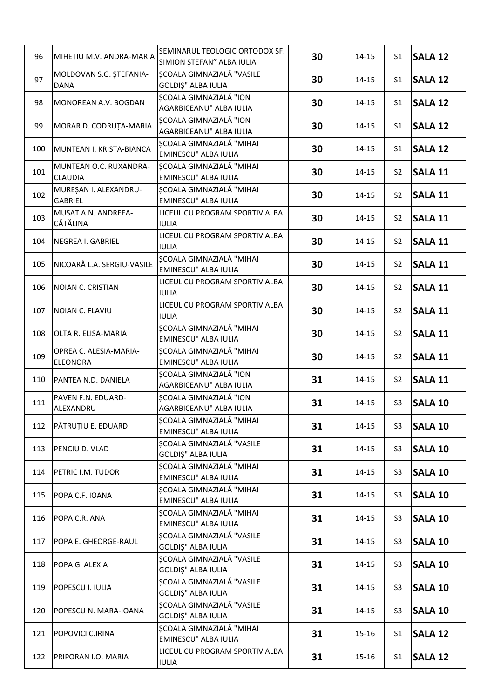| 96  | MIHETIU M.V. ANDRA-MARIA                  | SEMINARUL TEOLOGIC ORTODOX SF.<br>SIMION ȘTEFAN" ALBA IULIA | 30 | 14-15     | S <sub>1</sub> | <b>SALA 12</b> |
|-----|-------------------------------------------|-------------------------------------------------------------|----|-----------|----------------|----------------|
| 97  | MOLDOVAN S.G. STEFANIA-<br><b>DANA</b>    | <b>SCOALA GIMNAZIALĂ "VASILE</b><br>GOLDIȘ" ALBA IULIA      | 30 | 14-15     | S <sub>1</sub> | <b>SALA 12</b> |
| 98  | MONOREAN A.V. BOGDAN                      | SCOALA GIMNAZIALĂ "ION<br>AGARBICEANU" ALBA IULIA           | 30 | 14-15     | S <sub>1</sub> | <b>SALA 12</b> |
| 99  | MORAR D. CODRUȚA-MARIA                    | <b>SCOALA GIMNAZIALĂ "ION</b><br>AGARBICEANU" ALBA IULIA    | 30 | 14-15     | S <sub>1</sub> | <b>SALA 12</b> |
| 100 | MUNTEAN I. KRISTA-BIANCA                  | SCOALA GIMNAZIALĂ "MIHAI<br>EMINESCU" ALBA IULIA            | 30 | 14-15     | S <sub>1</sub> | <b>SALA 12</b> |
| 101 | MUNTEAN O.C. RUXANDRA-<br><b>CLAUDIA</b>  | SCOALA GIMNAZIALĂ "MIHAI<br>EMINESCU" ALBA IULIA            | 30 | 14-15     | S <sub>2</sub> | <b>SALA 11</b> |
| 102 | MUREȘAN I. ALEXANDRU-<br><b>GABRIEL</b>   | <b>SCOALA GIMNAZIALĂ "MIHAI</b><br>EMINESCU" ALBA IULIA     | 30 | 14-15     | S <sub>2</sub> | <b>SALA 11</b> |
| 103 | MUSAT A.N. ANDREEA-<br>CĂTĂLINA           | LICEUL CU PROGRAM SPORTIV ALBA<br><b>IULIA</b>              | 30 | 14-15     | S <sub>2</sub> | <b>SALA 11</b> |
| 104 | <b>NEGREA I. GABRIEL</b>                  | LICEUL CU PROGRAM SPORTIV ALBA<br><b>IULIA</b>              | 30 | $14 - 15$ | S <sub>2</sub> | <b>SALA 11</b> |
| 105 | NICOARĂ L.A. SERGIU-VASILE                | ȘCOALA GIMNAZIALĂ "MIHAI<br>EMINESCU" ALBA IULIA            | 30 | 14-15     | S <sub>2</sub> | <b>SALA 11</b> |
| 106 | <b>NOIAN C. CRISTIAN</b>                  | LICEUL CU PROGRAM SPORTIV ALBA<br><b>IULIA</b>              | 30 | 14-15     | S <sub>2</sub> | <b>SALA 11</b> |
| 107 | NOIAN C. FLAVIU                           | LICEUL CU PROGRAM SPORTIV ALBA<br><b>IULIA</b>              | 30 | $14 - 15$ | S <sub>2</sub> | <b>SALA 11</b> |
| 108 | OLTA R. ELISA-MARIA                       | ȘCOALA GIMNAZIALĂ "MIHAI<br>EMINESCU" ALBA IULIA            | 30 | 14-15     | S <sub>2</sub> | <b>SALA 11</b> |
| 109 | OPREA C. ALESIA-MARIA-<br><b>ELEONORA</b> | <b>SCOALA GIMNAZIALĂ "MIHAI</b><br>EMINESCU" ALBA IULIA     | 30 | 14-15     | S <sub>2</sub> | <b>SALA 11</b> |
| 110 | PANTEA N.D. DANIELA                       | <b>SCOALA GIMNAZIALĂ "ION</b><br>AGARBICEANU" ALBA IULIA    | 31 | 14-15     | S <sub>2</sub> | <b>SALA 11</b> |
| 111 | PAVEN F.N. EDUARD-<br>ALEXANDRU           | <b>SCOALA GIMNAZIALĂ "ION</b><br>AGARBICEANU" ALBA IULIA    | 31 | 14-15     | S <sub>3</sub> | <b>SALA 10</b> |
| 112 | PĂTRUȚIU E. EDUARD                        | SCOALA GIMNAZIALĂ "MIHAI<br>EMINESCU" ALBA IULIA            | 31 | 14-15     | S <sub>3</sub> | <b>SALA 10</b> |
| 113 | PENCIU D. VLAD                            | SCOALA GIMNAZIALĂ "VASILE<br>GOLDIȘ" ALBA IULIA             | 31 | 14-15     | S <sub>3</sub> | <b>SALA 10</b> |
| 114 | PETRIC I.M. TUDOR                         | SCOALA GIMNAZIALĂ "MIHAI<br>EMINESCU" ALBA IULIA            | 31 | 14-15     | S <sub>3</sub> | <b>SALA 10</b> |
| 115 | POPA C.F. IOANA                           | SCOALA GIMNAZIALĂ "MIHAI<br>EMINESCU" ALBA IULIA            | 31 | 14-15     | S <sub>3</sub> | <b>SALA 10</b> |
| 116 | POPA C.R. ANA                             | SCOALA GIMNAZIALĂ "MIHAI<br>EMINESCU" ALBA IULIA            | 31 | 14-15     | S <sub>3</sub> | <b>SALA 10</b> |
| 117 | POPA E. GHEORGE-RAUL                      | SCOALA GIMNAZIALĂ "VASILE<br>GOLDIȘ" ALBA IULIA             | 31 | 14-15     | S <sub>3</sub> | <b>SALA 10</b> |
| 118 | POPA G. ALEXIA                            | SCOALA GIMNAZIALĂ "VASILE<br>GOLDIȘ" ALBA IULIA             | 31 | 14-15     | S <sub>3</sub> | <b>SALA 10</b> |
| 119 | POPESCU I. IULIA                          | SCOALA GIMNAZIALĂ "VASILE<br>GOLDIȘ" ALBA IULIA             | 31 | 14-15     | S <sub>3</sub> | <b>SALA 10</b> |
| 120 | POPESCU N. MARA-IOANA                     | SCOALA GIMNAZIALĂ "VASILE<br>GOLDIȘ" ALBA IULIA             | 31 | 14-15     | S <sub>3</sub> | <b>SALA 10</b> |
| 121 | POPOVICI C.IRINA                          | <b>SCOALA GIMNAZIALĂ "MIHAI</b><br>EMINESCU" ALBA IULIA     | 31 | 15-16     | S1             | <b>SALA 12</b> |
| 122 | PRIPORAN I.O. MARIA                       | LICEUL CU PROGRAM SPORTIV ALBA<br><b>IULIA</b>              | 31 | 15-16     | S <sub>1</sub> | <b>SALA 12</b> |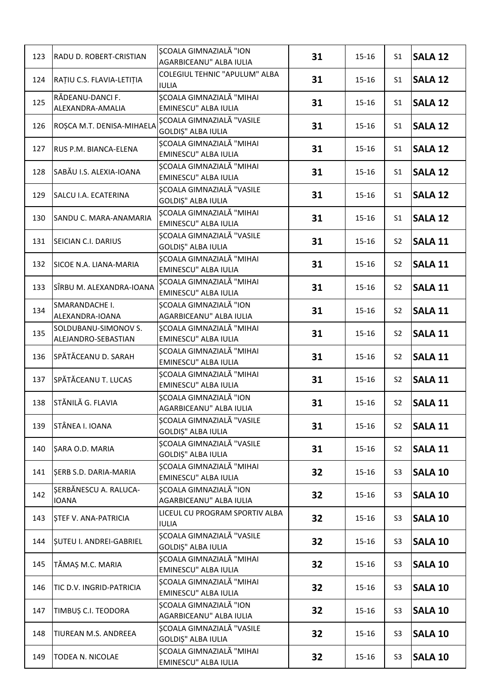| 123 | RADU D. ROBERT-CRISTIAN                     | SCOALA GIMNAZIALĂ "ION<br>AGARBICEANU" ALBA IULIA              | 31 | $15 - 16$ | S <sub>1</sub> | <b>SALA 12</b> |
|-----|---------------------------------------------|----------------------------------------------------------------|----|-----------|----------------|----------------|
| 124 | RAȚIU C.S. FLAVIA-LETIȚIA                   | COLEGIUL TEHNIC "APULUM" ALBA<br><b>IULIA</b>                  | 31 | 15-16     | S <sub>1</sub> | <b>SALA 12</b> |
| 125 | RĂDEANU-DANCI F.<br>ALEXANDRA-AMALIA        | SCOALA GIMNAZIALĂ "MIHAI<br>EMINESCU" ALBA IULIA               | 31 | 15-16     | S <sub>1</sub> | <b>SALA 12</b> |
| 126 | ROȘCA M.T. DENISA-MIHAELA                   | <b>SCOALA GIMNAZIALĂ "VASILE</b><br>GOLDIȘ" ALBA IULIA         | 31 | 15-16     | S <sub>1</sub> | <b>SALA 12</b> |
| 127 | RUS P.M. BIANCA-ELENA                       | <b>SCOALA GIMNAZIALĂ "MIHAI</b><br>EMINESCU" ALBA IULIA        | 31 | $15 - 16$ | S <sub>1</sub> | <b>SALA 12</b> |
| 128 | SABĂU I.S. ALEXIA-IOANA                     | <b>SCOALA GIMNAZIALĂ "MIHAI</b><br>EMINESCU" ALBA IULIA        | 31 | 15-16     | S <sub>1</sub> | <b>SALA 12</b> |
| 129 | SALCU I.A. ECATERINA                        | ȘCOALA GIMNAZIALĂ "VASILE<br>GOLDIȘ" ALBA IULIA                | 31 | 15-16     | S <sub>1</sub> | <b>SALA 12</b> |
| 130 | SANDU C. MARA-ANAMARIA                      | SCOALA GIMNAZIALĂ "MIHAI<br>EMINESCU" ALBA IULIA               | 31 | $15 - 16$ | S <sub>1</sub> | <b>SALA 12</b> |
| 131 | SEICIAN C.I. DARIUS                         | SCOALA GIMNAZIALĂ "VASILE<br>GOLDIȘ" ALBA IULIA                | 31 | 15-16     | S <sub>2</sub> | <b>SALA 11</b> |
| 132 | SICOE N.A. LIANA-MARIA                      | <b>SCOALA GIMNAZIALĂ "MIHAI</b><br>EMINESCU" ALBA IULIA        | 31 | 15-16     | S <sub>2</sub> | <b>SALA 11</b> |
| 133 | SÎRBU M. ALEXANDRA-IOANA                    | <b>SCOALA GIMNAZIALĂ "MIHAI</b><br>EMINESCU" ALBA IULIA        | 31 | 15-16     | S <sub>2</sub> | <b>SALA 11</b> |
| 134 | SMARANDACHE I.<br>ALEXANDRA-IOANA           | <b>SCOALA GIMNAZIALĂ "ION</b><br>AGARBICEANU" ALBA IULIA       | 31 | $15 - 16$ | S <sub>2</sub> | SALA 11        |
| 135 | SOLDUBANU-SIMONOV S.<br>ALEJANDRO-SEBASTIAN | <b>SCOALA GIMNAZIALĂ "MIHAI</b><br>EMINESCU" ALBA IULIA        | 31 | 15-16     | S <sub>2</sub> | <b>SALA 11</b> |
| 136 | SPĂTĂCEANU D. SARAH                         | <b>SCOALA GIMNAZIALĂ "MIHAI</b><br>EMINESCU" ALBA IULIA        | 31 | 15-16     | S <sub>2</sub> | <b>SALA 11</b> |
| 137 | SPĂTĂCEANU T. LUCAS                         | <b>SCOALA GIMNAZIALĂ "MIHAI</b><br><b>EMINESCU" ALBA IULIA</b> | 31 | 15-16     | S <sub>2</sub> | <b>SALA 11</b> |
| 138 | STĂNILĂ G. FLAVIA                           | <b>SCOALA GIMNAZIALĂ "ION</b><br>AGARBICEANU" ALBA IULIA       | 31 | 15-16     | S <sub>2</sub> | <b>SALA 11</b> |
| 139 | STÂNEA I. IOANA                             | ȘCOALA GIMNAZIALĂ "VASILE<br><b>GOLDIȘ" ALBA IULIA</b>         | 31 | $15 - 16$ | S <sub>2</sub> | <b>SALA 11</b> |
| 140 | SARA O.D. MARIA                             | SCOALA GIMNAZIALĂ "VASILE<br>GOLDIȘ" ALBA IULIA                | 31 | 15-16     | S <sub>2</sub> | <b>SALA 11</b> |
| 141 | SERB S.D. DARIA-MARIA                       | SCOALA GIMNAZIALĂ "MIHAI<br><b>EMINESCU" ALBA IULIA</b>        | 32 | 15-16     | S <sub>3</sub> | <b>SALA 10</b> |
| 142 | SERBĂNESCU A. RALUCA-<br><b>IOANA</b>       | SCOALA GIMNAZIALĂ "ION<br>AGARBICEANU" ALBA IULIA              | 32 | 15-16     | S <sub>3</sub> | <b>SALA 10</b> |
| 143 | STEF V. ANA-PATRICIA                        | LICEUL CU PROGRAM SPORTIV ALBA<br><b>IULIA</b>                 | 32 | 15-16     | S <sub>3</sub> | <b>SALA 10</b> |
| 144 | <b>SUTEU I. ANDREI-GABRIEL</b>              | <b>SCOALA GIMNAZIALĂ "VASILE</b><br><b>GOLDIȘ" ALBA IULIA</b>  | 32 | 15-16     | S <sub>3</sub> | <b>SALA 10</b> |
| 145 | TĂMAȘ M.C. MARIA                            | <b>SCOALA GIMNAZIALĂ "MIHAI</b><br><b>EMINESCU" ALBA IULIA</b> | 32 | 15-16     | S <sub>3</sub> | <b>SALA 10</b> |
| 146 | TIC D.V. INGRID-PATRICIA                    | SCOALA GIMNAZIALĂ "MIHAI<br>EMINESCU" ALBA IULIA               | 32 | 15-16     | S <sub>3</sub> | <b>SALA 10</b> |
| 147 | TIMBUȘ C.I. TEODORA                         | ȘCOALA GIMNAZIALĂ "ION<br>AGARBICEANU" ALBA IULIA              | 32 | 15-16     | S <sub>3</sub> | <b>SALA 10</b> |
| 148 | TIUREAN M.S. ANDREEA                        | SCOALA GIMNAZIALĂ "VASILE<br>GOLDIȘ" ALBA IULIA                | 32 | 15-16     | S <sub>3</sub> | <b>SALA 10</b> |
| 149 | TODEA N. NICOLAE                            | <b>SCOALA GIMNAZIALĂ "MIHAI</b><br>EMINESCU" ALBA IULIA        | 32 | 15-16     | S <sub>3</sub> | <b>SALA 10</b> |